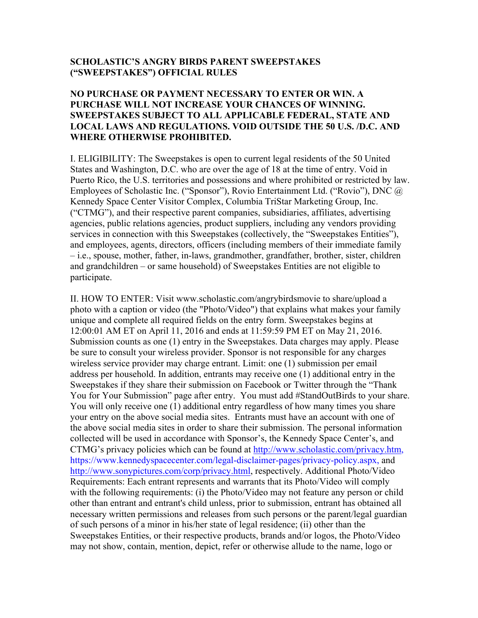## **SCHOLASTIC'S ANGRY BIRDS PARENT SWEEPSTAKES ("SWEEPSTAKES") OFFICIAL RULES**

## **NO PURCHASE OR PAYMENT NECESSARY TO ENTER OR WIN. A PURCHASE WILL NOT INCREASE YOUR CHANCES OF WINNING. SWEEPSTAKES SUBJECT TO ALL APPLICABLE FEDERAL, STATE AND LOCAL LAWS AND REGULATIONS. VOID OUTSIDE THE 50 U.S. /D.C. AND WHERE OTHERWISE PROHIBITED.**

I. ELIGIBILITY: The Sweepstakes is open to current legal residents of the 50 United States and Washington, D.C. who are over the age of 18 at the time of entry. Void in Puerto Rico, the U.S. territories and possessions and where prohibited or restricted by law. Employees of Scholastic Inc. ("Sponsor"), Rovio Entertainment Ltd. ("Rovio"), DNC @ Kennedy Space Center Visitor Complex, Columbia TriStar Marketing Group, Inc. ("CTMG"), and their respective parent companies, subsidiaries, affiliates, advertising agencies, public relations agencies, product suppliers, including any vendors providing services in connection with this Sweepstakes (collectively, the "Sweepstakes Entities"), and employees, agents, directors, officers (including members of their immediate family – i.e., spouse, mother, father, in-laws, grandmother, grandfather, brother, sister, children and grandchildren – or same household) of Sweepstakes Entities are not eligible to participate.

II. HOW TO ENTER: Visit www.scholastic.com/angrybirdsmovie to share/upload a photo with a caption or video (the "Photo/Video") that explains what makes your family unique and complete all required fields on the entry form. Sweepstakes begins at 12:00:01 AM ET on April 11, 2016 and ends at 11:59:59 PM ET on May 21, 2016. Submission counts as one (1) entry in the Sweepstakes. Data charges may apply. Please be sure to consult your wireless provider. Sponsor is not responsible for any charges wireless service provider may charge entrant. Limit: one (1) submission per email address per household. In addition, entrants may receive one (1) additional entry in the Sweepstakes if they share their submission on Facebook or Twitter through the "Thank You for Your Submission" page after entry. You must add #StandOutBirds to your share. You will only receive one (1) additional entry regardless of how many times you share your entry on the above social media sites. Entrants must have an account with one of the above social media sites in order to share their submission. The personal information collected will be used in accordance with Sponsor's, the Kennedy Space Center's, and CTMG's privacy policies which can be found at http://www.scholastic.com/privacy.htm, https://www.kennedyspacecenter.com/legal-disclaimer-pages/privacy-policy.aspx, and http://www.sonypictures.com/corp/privacy.html, respectively. Additional Photo/Video Requirements: Each entrant represents and warrants that its Photo/Video will comply with the following requirements: (i) the Photo/Video may not feature any person or child other than entrant and entrant's child unless, prior to submission, entrant has obtained all necessary written permissions and releases from such persons or the parent/legal guardian of such persons of a minor in his/her state of legal residence; (ii) other than the Sweepstakes Entities, or their respective products, brands and/or logos, the Photo/Video may not show, contain, mention, depict, refer or otherwise allude to the name, logo or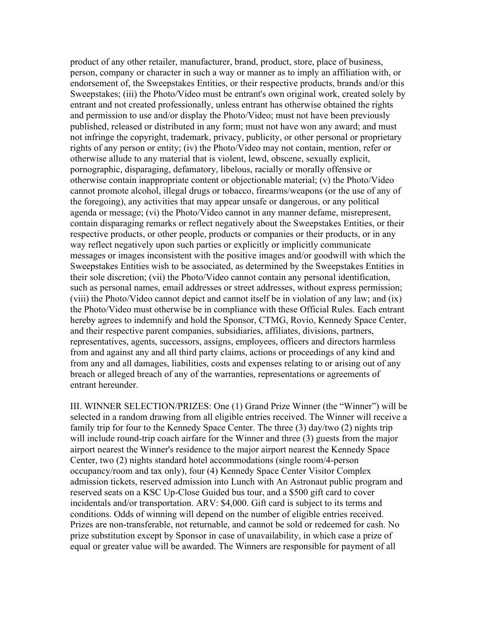product of any other retailer, manufacturer, brand, product, store, place of business, person, company or character in such a way or manner as to imply an affiliation with, or endorsement of, the Sweepstakes Entities, or their respective products, brands and/or this Sweepstakes; (iii) the Photo/Video must be entrant's own original work, created solely by entrant and not created professionally, unless entrant has otherwise obtained the rights and permission to use and/or display the Photo/Video; must not have been previously published, released or distributed in any form; must not have won any award; and must not infringe the copyright, trademark, privacy, publicity, or other personal or proprietary rights of any person or entity; (iv) the Photo/Video may not contain, mention, refer or otherwise allude to any material that is violent, lewd, obscene, sexually explicit, pornographic, disparaging, defamatory, libelous, racially or morally offensive or otherwise contain inappropriate content or objectionable material; (v) the Photo/Video cannot promote alcohol, illegal drugs or tobacco, firearms/weapons (or the use of any of the foregoing), any activities that may appear unsafe or dangerous, or any political agenda or message; (vi) the Photo/Video cannot in any manner defame, misrepresent, contain disparaging remarks or reflect negatively about the Sweepstakes Entities, or their respective products, or other people, products or companies or their products, or in any way reflect negatively upon such parties or explicitly or implicitly communicate messages or images inconsistent with the positive images and/or goodwill with which the Sweepstakes Entities wish to be associated, as determined by the Sweepstakes Entities in their sole discretion; (vii) the Photo/Video cannot contain any personal identification, such as personal names, email addresses or street addresses, without express permission; (viii) the Photo/Video cannot depict and cannot itself be in violation of any law; and (ix) the Photo/Video must otherwise be in compliance with these Official Rules. Each entrant hereby agrees to indemnify and hold the Sponsor, CTMG, Rovio, Kennedy Space Center, and their respective parent companies, subsidiaries, affiliates, divisions, partners, representatives, agents, successors, assigns, employees, officers and directors harmless from and against any and all third party claims, actions or proceedings of any kind and from any and all damages, liabilities, costs and expenses relating to or arising out of any breach or alleged breach of any of the warranties, representations or agreements of entrant hereunder.

III. WINNER SELECTION/PRIZES: One (1) Grand Prize Winner (the "Winner") will be selected in a random drawing from all eligible entries received. The Winner will receive a family trip for four to the Kennedy Space Center. The three (3) day/two (2) nights trip will include round-trip coach airfare for the Winner and three (3) guests from the major airport nearest the Winner's residence to the major airport nearest the Kennedy Space Center, two (2) nights standard hotel accommodations (single room/4-person occupancy/room and tax only), four (4) Kennedy Space Center Visitor Complex admission tickets, reserved admission into Lunch with An Astronaut public program and reserved seats on a KSC Up-Close Guided bus tour, and a \$500 gift card to cover incidentals and/or transportation. ARV: \$4,000. Gift card is subject to its terms and conditions. Odds of winning will depend on the number of eligible entries received. Prizes are non-transferable, not returnable, and cannot be sold or redeemed for cash. No prize substitution except by Sponsor in case of unavailability, in which case a prize of equal or greater value will be awarded. The Winners are responsible for payment of all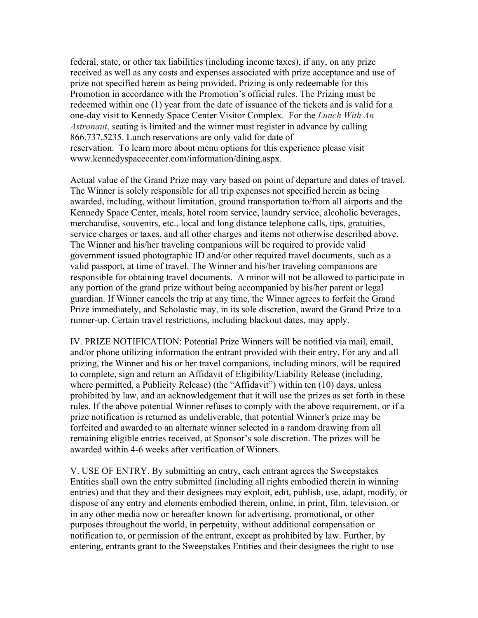federal, state, or other tax liabilities (including income taxes), if any, on any prize received as well as any costs and expenses associated with prize acceptance and use of prize not specified herein as being provided. Prizing is only redeemable for this Promotion in accordance with the Promotion's official rules. The Prizing must be redeemed within one (1) year from the date of issuance of the tickets and is valid for a one-day visit to Kennedy Space Center Visitor Complex. For the *Lunch With An Astronaut*, seating is limited and the winner must register in advance by calling 866.737.5235. Lunch reservations are only valid for date of reservation. To learn more about menu options for this experience please visit www.kennedyspacecenter.com/information/dining.aspx.

Actual value of the Grand Prize may vary based on point of departure and dates of travel. The Winner is solely responsible for all trip expenses not specified herein as being awarded, including, without limitation, ground transportation to/from all airports and the Kennedy Space Center, meals, hotel room service, laundry service, alcoholic beverages, merchandise, souvenirs, etc., local and long distance telephone calls, tips, gratuities, service charges or taxes, and all other charges and items not otherwise described above. The Winner and his/her traveling companions will be required to provide valid government issued photographic ID and/or other required travel documents, such as a valid passport, at time of travel. The Winner and his/her traveling companions are responsible for obtaining travel documents. A minor will not be allowed to participate in any portion of the grand prize without being accompanied by his/her parent or legal guardian. If Winner cancels the trip at any time, the Winner agrees to forfeit the Grand Prize immediately, and Scholastic may, in its sole discretion, award the Grand Prize to a runner-up. Certain travel restrictions, including blackout dates, may apply.

IV. PRIZE NOTIFICATION: Potential Prize Winners will be notified via mail, email, and/or phone utilizing information the entrant provided with their entry. For any and all prizing, the Winner and his or her travel companions, including minors, will be required to complete, sign and return an Affidavit of Eligibility/Liability Release (including, where permitted, a Publicity Release) (the "Affidavit") within ten (10) days, unless prohibited by law, and an acknowledgement that it will use the prizes as set forth in these rules. If the above potential Winner refuses to comply with the above requirement, or if a prize notification is returned as undeliverable, that potential Winner's prize may be forfeited and awarded to an alternate winner selected in a random drawing from all remaining eligible entries received, at Sponsor's sole discretion. The prizes will be awarded within 4-6 weeks after verification of Winners.

V. USE OF ENTRY. By submitting an entry, each entrant agrees the Sweepstakes Entities shall own the entry submitted (including all rights embodied therein in winning entries) and that they and their designees may exploit, edit, publish, use, adapt, modify, or dispose of any entry and elements embodied therein, online, in print, film, television, or in any other media now or hereafter known for advertising, promotional, or other purposes throughout the world, in perpetuity, without additional compensation or notification to, or permission of the entrant, except as prohibited by law. Further, by entering, entrants grant to the Sweepstakes Entities and their designees the right to use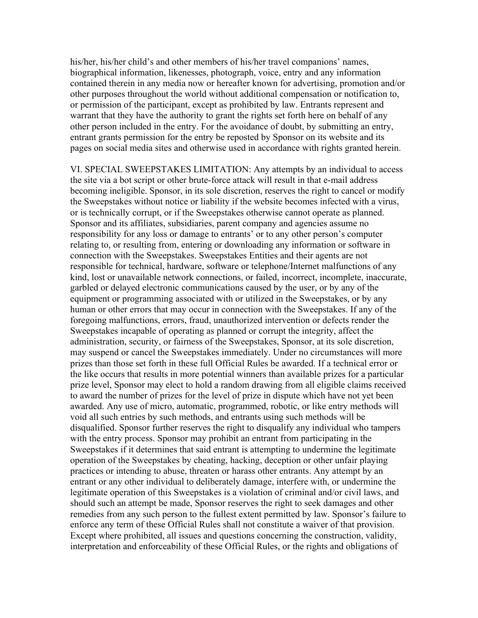his/her, his/her child's and other members of his/her travel companions' names, biographical information, likenesses, photograph, voice, entry and any information contained therein in any media now or hereafter known for advertising, promotion and/or other purposes throughout the world without additional compensation or notification to, or permission of the participant, except as prohibited by law. Entrants represent and warrant that they have the authority to grant the rights set forth here on behalf of any other person included in the entry. For the avoidance of doubt, by submitting an entry, entrant grants permission for the entry be reposted by Sponsor on its website and its pages on social media sites and otherwise used in accordance with rights granted herein.

VI. SPECIAL SWEEPSTAKES LIMITATION: Any attempts by an individual to access the site via a bot script or other brute-force attack will result in that e-mail address becoming ineligible. Sponsor, in its sole discretion, reserves the right to cancel or modify the Sweepstakes without notice or liability if the website becomes infected with a virus, or is technically corrupt, or if the Sweepstakes otherwise cannot operate as planned. Sponsor and its affiliates, subsidiaries, parent company and agencies assume no responsibility for any loss or damage to entrants' or to any other person's computer relating to, or resulting from, entering or downloading any information or software in connection with the Sweepstakes. Sweepstakes Entities and their agents are not responsible for technical, hardware, software or telephone/Internet malfunctions of any kind, lost or unavailable network connections, or failed, incorrect, incomplete, inaccurate, garbled or delayed electronic communications caused by the user, or by any of the equipment or programming associated with or utilized in the Sweepstakes, or by any human or other errors that may occur in connection with the Sweepstakes. If any of the foregoing malfunctions, errors, fraud, unauthorized intervention or defects render the Sweepstakes incapable of operating as planned or corrupt the integrity, affect the administration, security, or fairness of the Sweepstakes, Sponsor, at its sole discretion, may suspend or cancel the Sweepstakes immediately. Under no circumstances will more prizes than those set forth in these full Official Rules be awarded. If a technical error or the like occurs that results in more potential winners than available prizes for a particular prize level, Sponsor may elect to hold a random drawing from all eligible claims received to award the number of prizes for the level of prize in dispute which have not yet been awarded. Any use of micro, automatic, programmed, robotic, or like entry methods will void all such entries by such methods, and entrants using such methods will be disqualified. Sponsor further reserves the right to disqualify any individual who tampers with the entry process. Sponsor may prohibit an entrant from participating in the Sweepstakes if it determines that said entrant is attempting to undermine the legitimate operation of the Sweepstakes by cheating, hacking, deception or other unfair playing practices or intending to abuse, threaten or harass other entrants. Any attempt by an entrant or any other individual to deliberately damage, interfere with, or undermine the legitimate operation of this Sweepstakes is a violation of criminal and/or civil laws, and should such an attempt be made, Sponsor reserves the right to seek damages and other remedies from any such person to the fullest extent permitted by law. Sponsor's failure to enforce any term of these Official Rules shall not constitute a waiver of that provision. Except where prohibited, all issues and questions concerning the construction, validity, interpretation and enforceability of these Official Rules, or the rights and obligations of